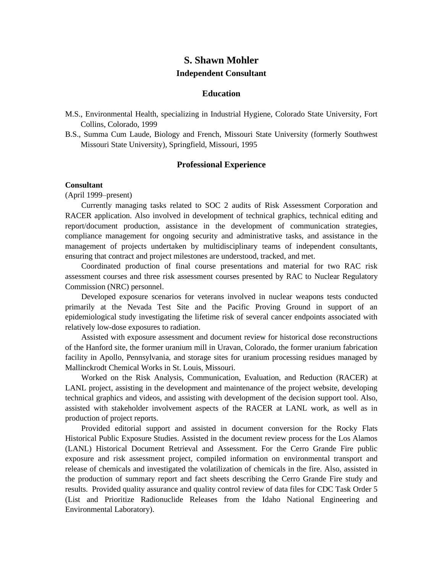# **S. Shawn Mohler Independent Consultant**

#### **Education**

- M.S., Environmental Health, specializing in Industrial Hygiene, Colorado State University, Fort Collins, Colorado, 1999
- B.S., Summa Cum Laude, Biology and French, Missouri State University (formerly Southwest Missouri State University), Springfield, Missouri, 1995

#### **Professional Experience**

#### **Consultant**

(April 1999–present)

Currently managing tasks related to SOC 2 audits of Risk Assessment Corporation and RACER application. Also involved in development of technical graphics, technical editing and report/document production, assistance in the development of communication strategies, compliance management for ongoing security and administrative tasks, and assistance in the management of projects undertaken by multidisciplinary teams of independent consultants, ensuring that contract and project milestones are understood, tracked, and met.

Coordinated production of final course presentations and material for two RAC risk assessment courses and three risk assessment courses presented by RAC to Nuclear Regulatory Commission (NRC) personnel.

Developed exposure scenarios for veterans involved in nuclear weapons tests conducted primarily at the Nevada Test Site and the Pacific Proving Ground in support of an epidemiological study investigating the lifetime risk of several cancer endpoints associated with relatively low-dose exposures to radiation.

Assisted with exposure assessment and document review for historical dose reconstructions of the Hanford site, the former uranium mill in Uravan, Colorado, the former uranium fabrication facility in Apollo, Pennsylvania, and storage sites for uranium processing residues managed by Mallinckrodt Chemical Works in St. Louis, Missouri.

Worked on the Risk Analysis, Communication, Evaluation, and Reduction (RACER) at LANL project, assisting in the development and maintenance of the project website, developing technical graphics and videos, and assisting with development of the decision support tool. Also, assisted with stakeholder involvement aspects of the RACER at LANL work, as well as in production of project reports.

Provided editorial support and assisted in document conversion for the Rocky Flats Historical Public Exposure Studies. Assisted in the document review process for the Los Alamos (LANL) Historical Document Retrieval and Assessment. For the Cerro Grande Fire public exposure and risk assessment project, compiled information on environmental transport and release of chemicals and investigated the volatilization of chemicals in the fire. Also, assisted in the production of summary report and fact sheets describing the Cerro Grande Fire study and results. Provided quality assurance and quality control review of data files for CDC Task Order 5 (List and Prioritize Radionuclide Releases from the Idaho National Engineering and Environmental Laboratory).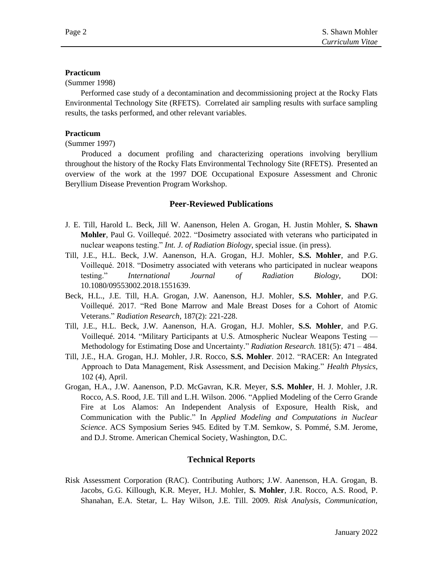### **Practicum**

(Summer 1998)

Performed case study of a decontamination and decommissioning project at the Rocky Flats Environmental Technology Site (RFETS). Correlated air sampling results with surface sampling results, the tasks performed, and other relevant variables.

## **Practicum**

(Summer 1997)

Produced a document profiling and characterizing operations involving beryllium throughout the history of the Rocky Flats Environmental Technology Site (RFETS). Presented an overview of the work at the 1997 DOE Occupational Exposure Assessment and Chronic Beryllium Disease Prevention Program Workshop.

### **Peer-Reviewed Publications**

- J. E. Till, Harold L. Beck, Jill W. Aanenson, Helen A. Grogan, H. Justin Mohler, **S. Shawn Mohler**, Paul G. Voillequé. 2022. "Dosimetry associated with veterans who participated in nuclear weapons testing." *Int. J. of Radiation Biology*, special issue. (in press).
- Till, J.E., H.L. Beck, J.W. Aanenson, H.A. Grogan, H.J. Mohler, **S.S. Mohler**, and P.G. Voillequé. 2018. "Dosimetry associated with veterans who participated in nuclear weapons testing." *International Journal of Radiation Biology*, DOI: 10.1080/09553002.2018.1551639.
- Beck, H.L., J.E. Till, H.A. Grogan, J.W. Aanenson, H.J. Mohler, **S.S. Mohler**, and P.G. Voillequé. 2017. "Red Bone Marrow and Male Breast Doses for a Cohort of Atomic Veterans." *Radiation Research*, 187(2): 221-228.
- Till, J.E., H.L. Beck, J.W. Aanenson, H.A. Grogan, H.J. Mohler, **S.S. Mohler**, and P.G. Voillequé. 2014. "Military Participants at U.S. Atmospheric Nuclear Weapons Testing — Methodology for Estimating Dose and Uncertainty." *Radiation Research.* 181(5): 471 – 484.
- Till, J.E., H.A. Grogan, H.J. Mohler, J.R. Rocco, **S.S. Mohler**. 2012. "RACER: An Integrated Approach to Data Management, Risk Assessment, and Decision Making." *Health Physics*, 102 (4), April.
- Grogan, H.A., J.W. Aanenson, P.D. McGavran, K.R. Meyer, **S.S. Mohler**, H. J. Mohler, J.R. Rocco, A.S. Rood, J.E. Till and L.H. Wilson. 2006. "Applied Modeling of the Cerro Grande Fire at Los Alamos: An Independent Analysis of Exposure, Health Risk, and Communication with the Public." In *Applied Modeling and Computations in Nuclear Science*. ACS Symposium Series 945. Edited by T.M. Semkow, S. Pommé, S.M. Jerome, and D.J. Strome. American Chemical Society, Washington, D.C.

# **Technical Reports**

Risk Assessment Corporation (RAC). Contributing Authors; J.W. Aanenson, H.A. Grogan, B. Jacobs, G.G. Killough, K.R. Meyer, H.J. Mohler, **S. Mohler**, J.R. Rocco, A.S. Rood, P. Shanahan, E.A. Stetar, L. Hay Wilson, J.E. Till. 2009. *Risk Analysis, Communication,*